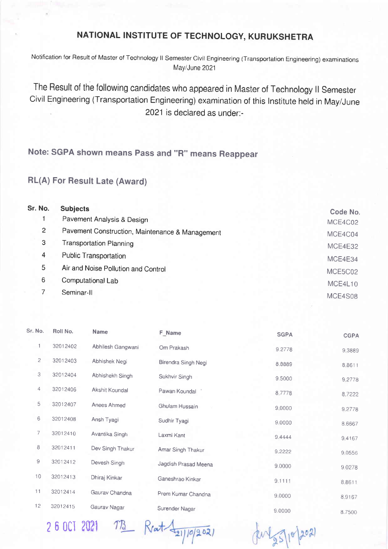## NATIONAL INSTITUTE OF TECHNOLOGY, KURUKSHETRA

Notification for Result of Master of Technology ll Semester Civil Engineering (Transportation Engineering) examinations May/June 2021

The Result of the following candidates who appeared in Master of Technology ll Semester Civil Engineering (Transportation Engineering) examination of this lnstitute held in May/June 2021 is declared as under:-

Note: SGPA shown means pass and "R" means Reappear

RL(A) For Result Late (Award)

| Sr. No.<br><b>Subjects</b>                           | Code No. |
|------------------------------------------------------|----------|
| Pavement Analysis & Design                           | MCE4C02  |
| 2<br>Pavement Construction, Maintenance & Management | MCE4C04  |
| 3<br><b>Transportation Planning</b>                  | MCE4E32  |
| 4<br><b>Public Transportation</b>                    | MCE4E34  |
| 5<br>Air and Noise Pollution and Control             | MCE5C02  |
| 6<br>Computational Lab                               | MCE4L10  |
| Seminar-II                                           | MCE4S08  |

| Sr. No.        | Roll No. | <b>Name</b>       | F_Name               | <b>SGPA</b> | <b>CGPA</b>      |
|----------------|----------|-------------------|----------------------|-------------|------------------|
| 1              | 32012402 | Abhilesh Gangwani | Om Prakash           | 9.2778      | 9,3889           |
| $\overline{c}$ | 32012403 | Abhishek Negi     | Birendra Singh Negi  | 8.8889      | 8,8611           |
| 3              | 32012404 | Abhishekh Singh   | Sukhvir Singh        | 9,5000      | 9.2778           |
| 4              | 32012406 | Akshit Koundal    | Pawan Koundal        | 8,7778      | 87222            |
| 5              | 32012407 | Anees Ahmed       | Ghulam Hussain       | 9.0000      | 9.2778           |
| 6              | 32012408 | Ansh Tyagi        | Sudhir Tyagi         | 9.0000      | 8.6667           |
| 7              | 32012410 | Avantika Singh    | Laxmi Kant           | 9.4444      | 9.4167           |
| 8              | 32012411 | Dev Singh Thakur  | Amar Singh Thakur    | 9.2222      | 9,0556           |
| $\mathsf 9$    | 32012412 | Devesh Singh      | Jagdish Prasad Meena | 9.0000      | 9.0278           |
| 10             | 32012413 | Dhiraj Kinkar     | Ganeshrao Kinkar     | 9.1111      | 8.8611           |
| 11             | 32012414 | Gaurav Chandna    | Prem Kumar Chandna   | 9.0000      |                  |
| 12             | 32012415 | Gaurav Nagar      | Surender Nagar       | 9,0000      | 8.9167<br>8.7500 |

2 6 OCT 2021 TB

 $R$ rat  $\frac{1}{21/10/202}$